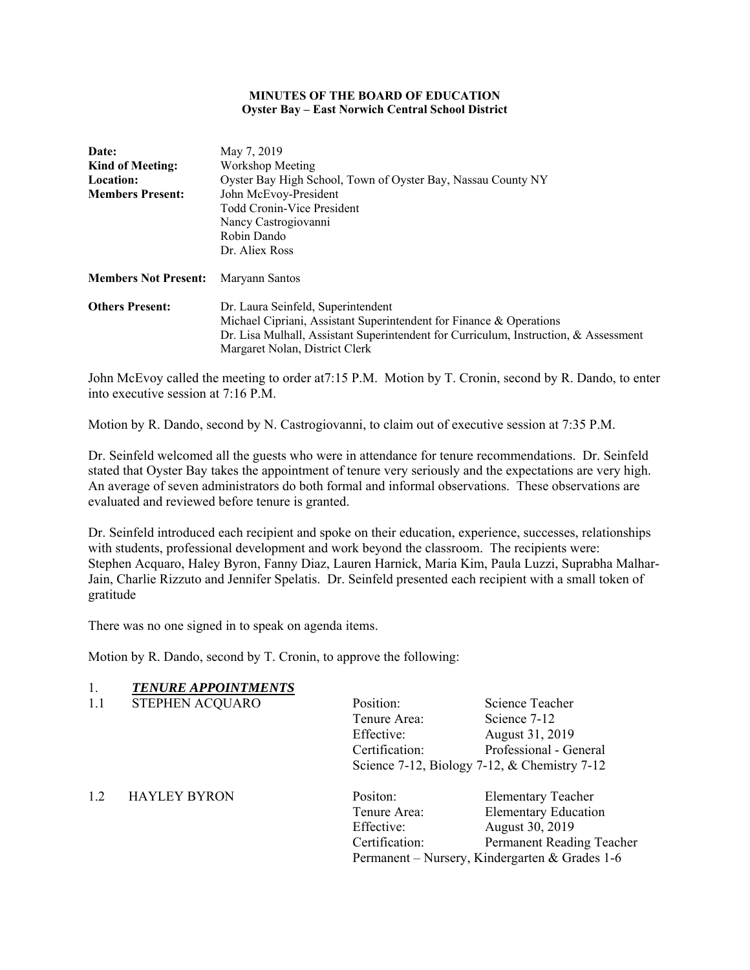#### **MINUTES OF THE BOARD OF EDUCATION Oyster Bay – East Norwich Central School District**

| May 7, 2019                                                                          |  |  |
|--------------------------------------------------------------------------------------|--|--|
| Workshop Meeting<br><b>Kind of Meeting:</b>                                          |  |  |
| Oyster Bay High School, Town of Oyster Bay, Nassau County NY                         |  |  |
| John McEvoy-President                                                                |  |  |
| <b>Todd Cronin-Vice President</b>                                                    |  |  |
| Nancy Castrogiovanni                                                                 |  |  |
| Robin Dando                                                                          |  |  |
| Dr. Aliex Ross                                                                       |  |  |
| Maryann Santos                                                                       |  |  |
| Dr. Laura Seinfeld, Superintendent                                                   |  |  |
| Michael Cipriani, Assistant Superintendent for Finance & Operations                  |  |  |
| Dr. Lisa Mulhall, Assistant Superintendent for Curriculum, Instruction, & Assessment |  |  |
| Margaret Nolan, District Clerk                                                       |  |  |
|                                                                                      |  |  |

John McEvoy called the meeting to order at7:15 P.M. Motion by T. Cronin, second by R. Dando, to enter into executive session at 7:16 P.M.

Motion by R. Dando, second by N. Castrogiovanni, to claim out of executive session at 7:35 P.M.

Dr. Seinfeld welcomed all the guests who were in attendance for tenure recommendations. Dr. Seinfeld stated that Oyster Bay takes the appointment of tenure very seriously and the expectations are very high. An average of seven administrators do both formal and informal observations. These observations are evaluated and reviewed before tenure is granted.

Dr. Seinfeld introduced each recipient and spoke on their education, experience, successes, relationships with students, professional development and work beyond the classroom. The recipients were: Stephen Acquaro, Haley Byron, Fanny Diaz, Lauren Harnick, Maria Kim, Paula Luzzi, Suprabha Malhar-Jain, Charlie Rizzuto and Jennifer Spelatis. Dr. Seinfeld presented each recipient with a small token of gratitude

There was no one signed in to speak on agenda items.

Motion by R. Dando, second by T. Cronin, to approve the following:

### 1. *TENURE APPOINTMENTS*

| 1.1 | STEPHEN ACQUARO     | Position:      | Science Teacher                                      |
|-----|---------------------|----------------|------------------------------------------------------|
|     |                     | Tenure Area:   | Science 7-12                                         |
|     |                     | Effective:     | August 31, 2019                                      |
|     |                     | Certification: | Professional - General                               |
|     |                     |                | Science $7-12$ , Biology $7-12$ , & Chemistry $7-12$ |
| 1.2 | <b>HAYLEY BYRON</b> | Positon:       | <b>Elementary Teacher</b>                            |
|     |                     | Tenure Area:   | <b>Elementary Education</b>                          |
|     |                     | Effective:     | August 30, 2019                                      |
|     |                     | Certification: | Permanent Reading Teacher                            |

Permanent – Nursery, Kindergarten & Grades 1-6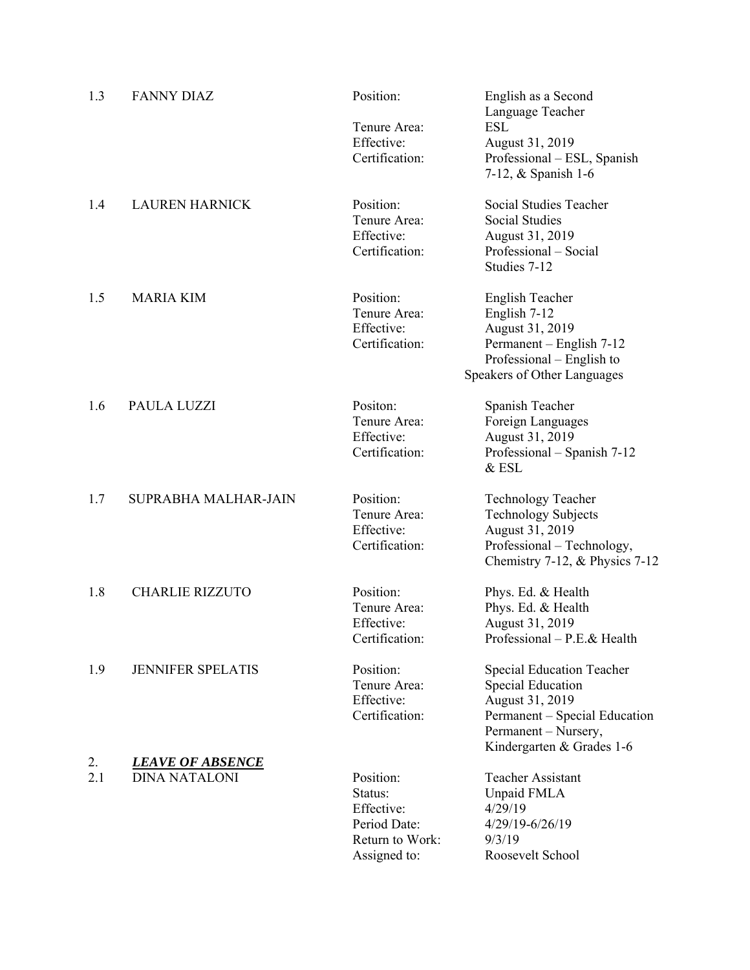| 1.3 | <b>FANNY DIAZ</b>        | Position:                    | English as a Second<br>Language Teacher  |
|-----|--------------------------|------------------------------|------------------------------------------|
|     |                          | Tenure Area:                 | <b>ESL</b>                               |
|     |                          | Effective:                   | August 31, 2019                          |
|     |                          | Certification:               | Professional – ESL, Spanish              |
|     |                          |                              | 7-12, & Spanish 1-6                      |
| 1.4 | <b>LAUREN HARNICK</b>    | Position:                    | Social Studies Teacher                   |
|     |                          | Tenure Area:                 | Social Studies                           |
|     |                          | Effective:<br>Certification: | August 31, 2019<br>Professional - Social |
|     |                          |                              | Studies 7-12                             |
|     |                          |                              |                                          |
| 1.5 | <b>MARIA KIM</b>         | Position:                    | English Teacher                          |
|     |                          | Tenure Area:                 | English 7-12                             |
|     |                          | Effective:                   | August 31, 2019                          |
|     |                          | Certification:               | Permanent – English 7-12                 |
|     |                          |                              | Professional – English to                |
|     |                          |                              | Speakers of Other Languages              |
| 1.6 | PAULA LUZZI              | Positon:                     | Spanish Teacher                          |
|     |                          | Tenure Area:                 | Foreign Languages                        |
|     |                          | Effective:                   | August 31, 2019                          |
|     |                          | Certification:               | Professional – Spanish 7-12              |
|     |                          |                              | $&$ ESL                                  |
| 1.7 | SUPRABHA MALHAR-JAIN     | Position:                    | <b>Technology Teacher</b>                |
|     |                          | Tenure Area:                 | <b>Technology Subjects</b>               |
|     |                          | Effective:                   | August 31, 2019                          |
|     |                          | Certification:               | Professional - Technology,               |
|     |                          |                              | Chemistry 7-12, & Physics 7-12           |
| 1.8 | <b>CHARLIE RIZZUTO</b>   | Position:                    | Phys. Ed. & Health                       |
|     |                          | Tenure Area:                 | Phys. Ed. & Health                       |
|     |                          | Effective:                   | August 31, 2019                          |
|     |                          | Certification:               | Professional - P.E.& Health              |
| 1.9 | <b>JENNIFER SPELATIS</b> | Position:                    | <b>Special Education Teacher</b>         |
|     |                          | Tenure Area:                 | <b>Special Education</b>                 |
|     |                          | Effective:                   | August 31, 2019                          |
|     |                          | Certification:               | Permanent - Special Education            |
|     |                          |                              | Permanent - Nursery,                     |
|     |                          |                              | Kindergarten & Grades 1-6                |
| 2.  | <u>LEAVE OF ABSENCE</u>  |                              |                                          |
| 2.1 | <b>DINA NATALONI</b>     | Position:<br>Status:         | <b>Teacher Assistant</b>                 |
|     |                          | Effective:                   | Unpaid FMLA<br>4/29/19                   |
|     |                          | Period Date:                 | 4/29/19-6/26/19                          |
|     |                          | Return to Work:              | 9/3/19                                   |
|     |                          | Assigned to:                 | Roosevelt School                         |
|     |                          |                              |                                          |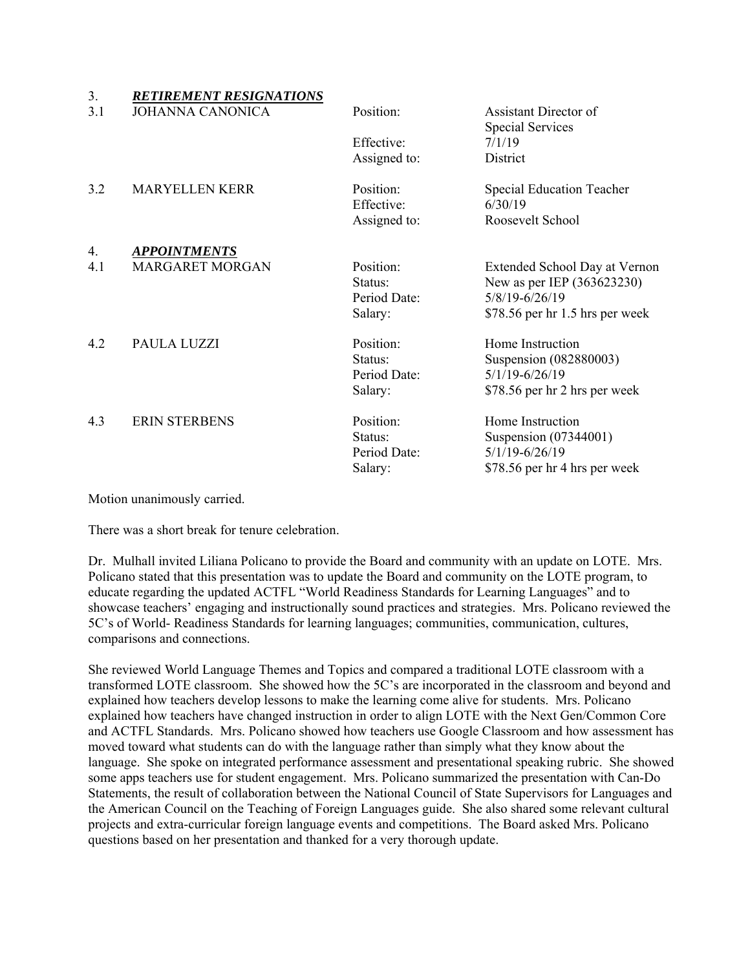| 3.  | <b>RETIREMENT RESIGNATIONS</b>                                                  |                         |                                                             |
|-----|---------------------------------------------------------------------------------|-------------------------|-------------------------------------------------------------|
| 3.1 | <b>JOHANNA CANONICA</b>                                                         | Position:               | Assistant Director of<br><b>Special Services</b>            |
|     |                                                                                 | Effective:              | 7/1/19                                                      |
|     |                                                                                 | Assigned to:            | District                                                    |
| 3.2 | <b>MARYELLEN KERR</b>                                                           | Position:<br>Effective: | Special Education Teacher<br>6/30/19                        |
|     |                                                                                 | Assigned to:            | Roosevelt School                                            |
| 4.  | <b>APPOINTMENTS</b>                                                             |                         |                                                             |
| 4.1 | <b>MARGARET MORGAN</b>                                                          | Position:<br>Status:    | Extended School Day at Vernon<br>New as per IEP (363623230) |
|     |                                                                                 | Period Date:            | 5/8/19-6/26/19                                              |
|     |                                                                                 | Salary:                 | \$78.56 per hr 1.5 hrs per week                             |
| 4.2 | PAULA LUZZI                                                                     | Position:               | Home Instruction                                            |
|     |                                                                                 | Status:                 | Suspension (082880003)                                      |
|     |                                                                                 | Period Date:            | $5/1/19 - 6/26/19$                                          |
|     |                                                                                 | Salary:                 | \$78.56 per hr 2 hrs per week                               |
| 4.3 | <b>ERIN STERBENS</b>                                                            | Position:               | Home Instruction                                            |
|     |                                                                                 | Status:                 | Suspension (07344001)                                       |
|     |                                                                                 | Period Date:            | $5/1/19 - 6/26/19$                                          |
|     |                                                                                 | Salary:                 | \$78.56 per hr 4 hrs per week                               |
|     | the contract of the contract of the contract of the contract of the contract of |                         |                                                             |

Motion unanimously carried.

There was a short break for tenure celebration.

Dr. Mulhall invited Liliana Policano to provide the Board and community with an update on LOTE. Mrs. Policano stated that this presentation was to update the Board and community on the LOTE program, to educate regarding the updated ACTFL "World Readiness Standards for Learning Languages" and to showcase teachers' engaging and instructionally sound practices and strategies. Mrs. Policano reviewed the 5C's of World- Readiness Standards for learning languages; communities, communication, cultures, comparisons and connections.

She reviewed World Language Themes and Topics and compared a traditional LOTE classroom with a transformed LOTE classroom. She showed how the 5C's are incorporated in the classroom and beyond and explained how teachers develop lessons to make the learning come alive for students. Mrs. Policano explained how teachers have changed instruction in order to align LOTE with the Next Gen/Common Core and ACTFL Standards. Mrs. Policano showed how teachers use Google Classroom and how assessment has moved toward what students can do with the language rather than simply what they know about the language. She spoke on integrated performance assessment and presentational speaking rubric. She showed some apps teachers use for student engagement. Mrs. Policano summarized the presentation with Can-Do Statements, the result of collaboration between the National Council of State Supervisors for Languages and the American Council on the Teaching of Foreign Languages guide. She also shared some relevant cultural projects and extra-curricular foreign language events and competitions. The Board asked Mrs. Policano questions based on her presentation and thanked for a very thorough update.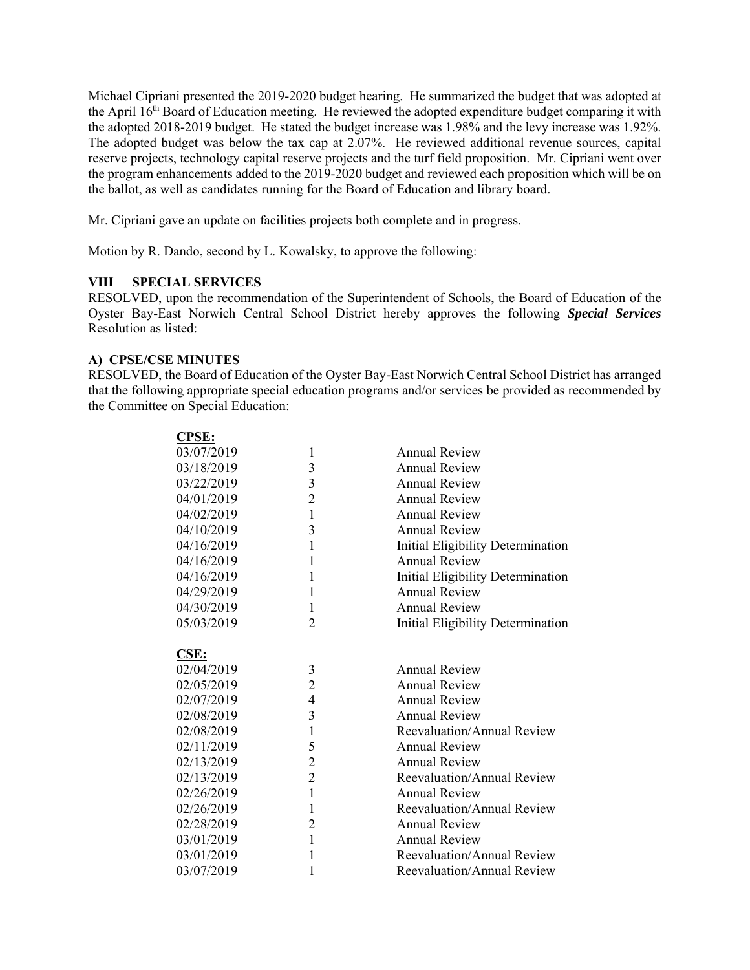Michael Cipriani presented the 2019-2020 budget hearing. He summarized the budget that was adopted at the April 16<sup>th</sup> Board of Education meeting. He reviewed the adopted expenditure budget comparing it with the adopted 2018-2019 budget. He stated the budget increase was 1.98% and the levy increase was 1.92%. The adopted budget was below the tax cap at 2.07%. He reviewed additional revenue sources, capital reserve projects, technology capital reserve projects and the turf field proposition. Mr. Cipriani went over the program enhancements added to the 2019-2020 budget and reviewed each proposition which will be on the ballot, as well as candidates running for the Board of Education and library board.

Mr. Cipriani gave an update on facilities projects both complete and in progress.

Motion by R. Dando, second by L. Kowalsky, to approve the following:

# **VIII SPECIAL SERVICES**

RESOLVED, upon the recommendation of the Superintendent of Schools, the Board of Education of the Oyster Bay-East Norwich Central School District hereby approves the following *Special Services*  Resolution as listed:

## **A) CPSE/CSE MINUTES**

**CPSE:** 

RESOLVED, the Board of Education of the Oyster Bay-East Norwich Central School District has arranged that the following appropriate special education programs and/or services be provided as recommended by the Committee on Special Education:

| <u>.</u>    |                |                                   |
|-------------|----------------|-----------------------------------|
| 03/07/2019  | $\mathbf{1}$   | <b>Annual Review</b>              |
| 03/18/2019  | 3              | <b>Annual Review</b>              |
| 03/22/2019  | $\overline{3}$ | <b>Annual Review</b>              |
| 04/01/2019  | $\overline{c}$ | <b>Annual Review</b>              |
| 04/02/2019  | $\mathbf{1}$   | <b>Annual Review</b>              |
| 04/10/2019  | 3              | <b>Annual Review</b>              |
| 04/16/2019  | $\mathbf{1}$   | Initial Eligibility Determination |
| 04/16/2019  | $\mathbf{1}$   | <b>Annual Review</b>              |
| 04/16/2019  | $\mathbf{1}$   | Initial Eligibility Determination |
| 04/29/2019  | $\mathbf{1}$   | <b>Annual Review</b>              |
| 04/30/2019  | $\mathbf{1}$   | <b>Annual Review</b>              |
| 05/03/2019  | $\overline{2}$ | Initial Eligibility Determination |
|             |                |                                   |
| <b>CSE:</b> |                |                                   |
| 02/04/2019  | 3              | <b>Annual Review</b>              |
| 02/05/2019  | $\overline{c}$ | <b>Annual Review</b>              |
| 02/07/2019  | $\overline{4}$ | <b>Annual Review</b>              |
| 02/08/2019  | 3              | <b>Annual Review</b>              |
| 02/08/2019  | $\mathbf{1}$   | Reevaluation/Annual Review        |
| 02/11/2019  | 5              | <b>Annual Review</b>              |
| 02/13/2019  | $\overline{c}$ | <b>Annual Review</b>              |
| 02/13/2019  | $\overline{2}$ | Reevaluation/Annual Review        |
| 02/26/2019  | $\mathbf{1}$   | <b>Annual Review</b>              |
| 02/26/2019  | $\mathbf{1}$   | Reevaluation/Annual Review        |
| 02/28/2019  | $\overline{2}$ | <b>Annual Review</b>              |
| 03/01/2019  | $\mathbf{1}$   | <b>Annual Review</b>              |
| 03/01/2019  | $\mathbf{1}$   | Reevaluation/Annual Review        |
| 03/07/2019  | $\mathbf{1}$   | Reevaluation/Annual Review        |
|             |                |                                   |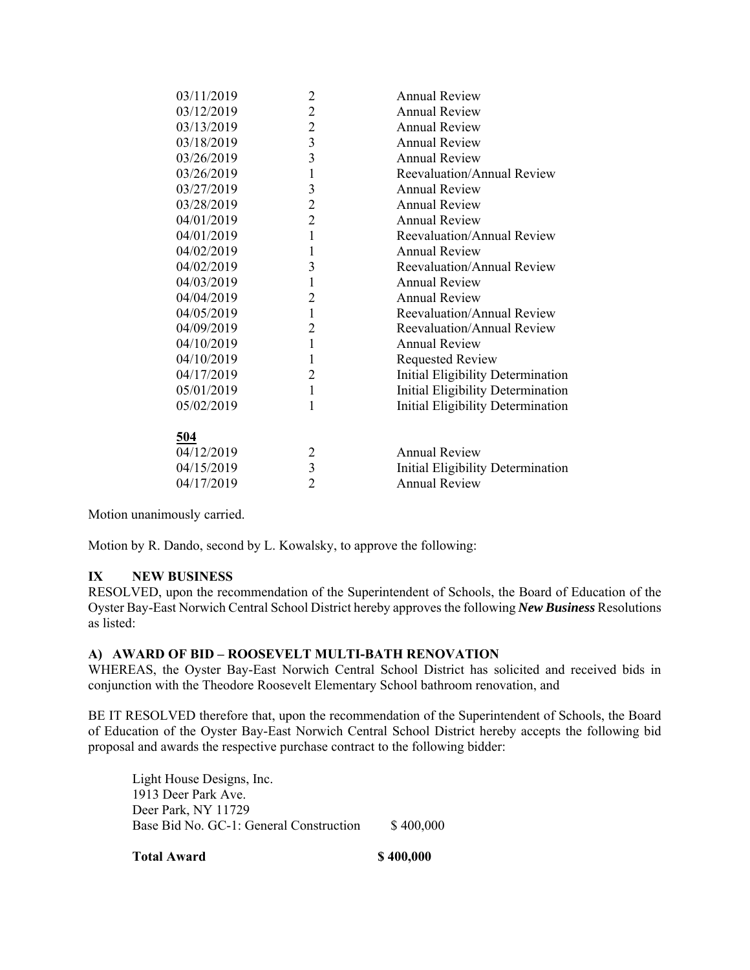| 03/11/2019 | $\overline{c}$          | <b>Annual Review</b>              |
|------------|-------------------------|-----------------------------------|
| 03/12/2019 | $\overline{c}$          | <b>Annual Review</b>              |
| 03/13/2019 | $\overline{c}$          | <b>Annual Review</b>              |
| 03/18/2019 | $\overline{3}$          | <b>Annual Review</b>              |
| 03/26/2019 | $\overline{3}$          | <b>Annual Review</b>              |
| 03/26/2019 | $\mathbf{1}$            | Reevaluation/Annual Review        |
| 03/27/2019 | 3                       | <b>Annual Review</b>              |
| 03/28/2019 | $\overline{2}$          | <b>Annual Review</b>              |
| 04/01/2019 | $\overline{c}$          | <b>Annual Review</b>              |
| 04/01/2019 | $\mathbf{1}$            | Reevaluation/Annual Review        |
| 04/02/2019 | $\mathbf{1}$            | <b>Annual Review</b>              |
| 04/02/2019 | 3                       | Reevaluation/Annual Review        |
| 04/03/2019 | $\mathbf{1}$            | <b>Annual Review</b>              |
| 04/04/2019 | $\overline{2}$          | <b>Annual Review</b>              |
| 04/05/2019 | $\mathbf{1}$            | Reevaluation/Annual Review        |
| 04/09/2019 | $\overline{2}$          | Reevaluation/Annual Review        |
| 04/10/2019 | $\mathbf{1}$            | <b>Annual Review</b>              |
| 04/10/2019 | $\mathbf{1}$            | <b>Requested Review</b>           |
| 04/17/2019 | $\overline{2}$          | Initial Eligibility Determination |
| 05/01/2019 | $\mathbf{1}$            | Initial Eligibility Determination |
| 05/02/2019 | $\mathbf{1}$            | Initial Eligibility Determination |
|            |                         |                                   |
| 504        |                         |                                   |
| 04/12/2019 | 2                       | <b>Annual Review</b>              |
| 04/15/2019 | $\overline{\mathbf{3}}$ | Initial Eligibility Determination |
| 04/17/2019 | $\overline{2}$          | <b>Annual Review</b>              |
|            |                         |                                   |

Motion unanimously carried.

Motion by R. Dando, second by L. Kowalsky, to approve the following:

# **IX NEW BUSINESS**

RESOLVED, upon the recommendation of the Superintendent of Schools, the Board of Education of the Oyster Bay-East Norwich Central School District hereby approves the following *New Business* Resolutions as listed:

### **A) AWARD OF BID – ROOSEVELT MULTI-BATH RENOVATION**

WHEREAS, the Oyster Bay-East Norwich Central School District has solicited and received bids in conjunction with the Theodore Roosevelt Elementary School bathroom renovation, and

BE IT RESOLVED therefore that, upon the recommendation of the Superintendent of Schools, the Board of Education of the Oyster Bay-East Norwich Central School District hereby accepts the following bid proposal and awards the respective purchase contract to the following bidder:

Light House Designs, Inc. 1913 Deer Park Ave. Deer Park, NY 11729 Base Bid No. GC-1: General Construction \$400,000

**Total Award \$ 400,000 \$ 400,000 \$ 400.000 \$ 400.000 \$ 400.000 \$ 400.000 \$ 400.000 \$ 400.000 \$ 400.000 \$ 5 400.000 \$ 5 400.000 \$ 5 400.000 \$ 5 400.000 \$ 5 400.000 \$ 5 400.000 \$ 5 400.000 \$ 5 400.000 \$ 5 5 5 5 5 5 5 5 6 7 5**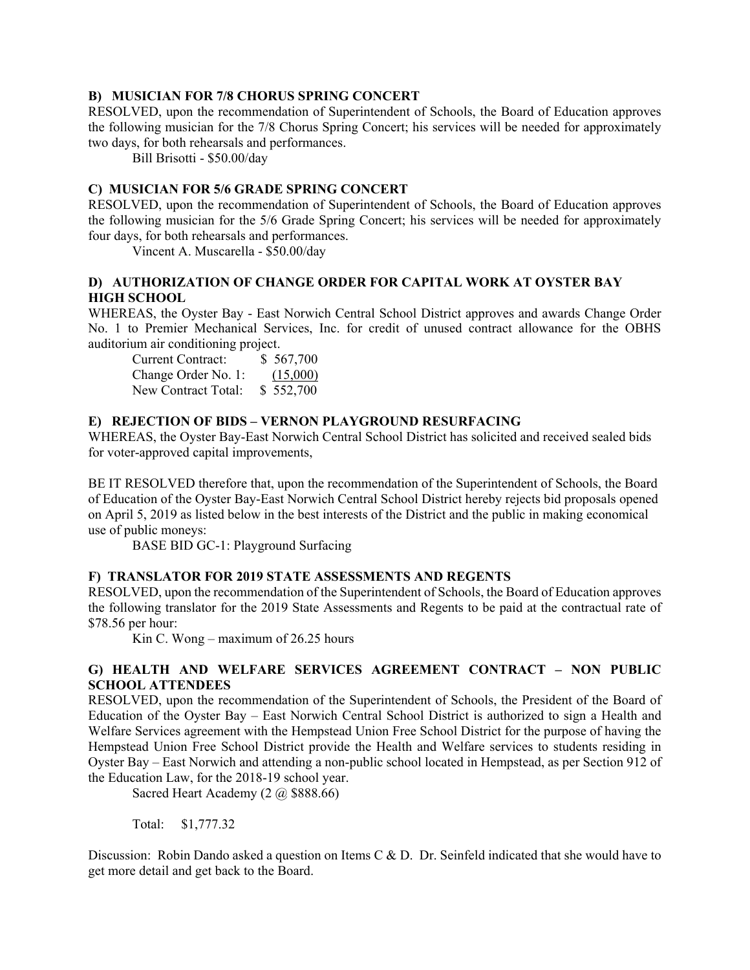### **B) MUSICIAN FOR 7/8 CHORUS SPRING CONCERT**

RESOLVED, upon the recommendation of Superintendent of Schools, the Board of Education approves the following musician for the 7/8 Chorus Spring Concert; his services will be needed for approximately two days, for both rehearsals and performances.

Bill Brisotti - \$50.00/day

#### **C) MUSICIAN FOR 5/6 GRADE SPRING CONCERT**

RESOLVED, upon the recommendation of Superintendent of Schools, the Board of Education approves the following musician for the 5/6 Grade Spring Concert; his services will be needed for approximately four days, for both rehearsals and performances.

Vincent A. Muscarella - \$50.00/day

## **D) AUTHORIZATION OF CHANGE ORDER FOR CAPITAL WORK AT OYSTER BAY HIGH SCHOOL**

WHEREAS, the Oyster Bay - East Norwich Central School District approves and awards Change Order No. 1 to Premier Mechanical Services, Inc. for credit of unused contract allowance for the OBHS auditorium air conditioning project.

| Current Contract:   | \$567,700 |
|---------------------|-----------|
| Change Order No. 1: | (15,000)  |
| New Contract Total: | \$552,700 |

### **E) REJECTION OF BIDS – VERNON PLAYGROUND RESURFACING**

WHEREAS, the Oyster Bay-East Norwich Central School District has solicited and received sealed bids for voter-approved capital improvements,

BE IT RESOLVED therefore that, upon the recommendation of the Superintendent of Schools, the Board of Education of the Oyster Bay-East Norwich Central School District hereby rejects bid proposals opened on April 5, 2019 as listed below in the best interests of the District and the public in making economical use of public moneys:

BASE BID GC-1: Playground Surfacing

### **F) TRANSLATOR FOR 2019 STATE ASSESSMENTS AND REGENTS**

RESOLVED, upon the recommendation of the Superintendent of Schools, the Board of Education approves the following translator for the 2019 State Assessments and Regents to be paid at the contractual rate of \$78.56 per hour:

Kin C. Wong – maximum of 26.25 hours

## **G) HEALTH AND WELFARE SERVICES AGREEMENT CONTRACT – NON PUBLIC SCHOOL ATTENDEES**

RESOLVED, upon the recommendation of the Superintendent of Schools, the President of the Board of Education of the Oyster Bay – East Norwich Central School District is authorized to sign a Health and Welfare Services agreement with the Hempstead Union Free School District for the purpose of having the Hempstead Union Free School District provide the Health and Welfare services to students residing in Oyster Bay – East Norwich and attending a non-public school located in Hempstead, as per Section 912 of the Education Law, for the 2018-19 school year.

Sacred Heart Academy (2 @ \$888.66)

Total: \$1,777.32

Discussion: Robin Dando asked a question on Items C & D. Dr. Seinfeld indicated that she would have to get more detail and get back to the Board.